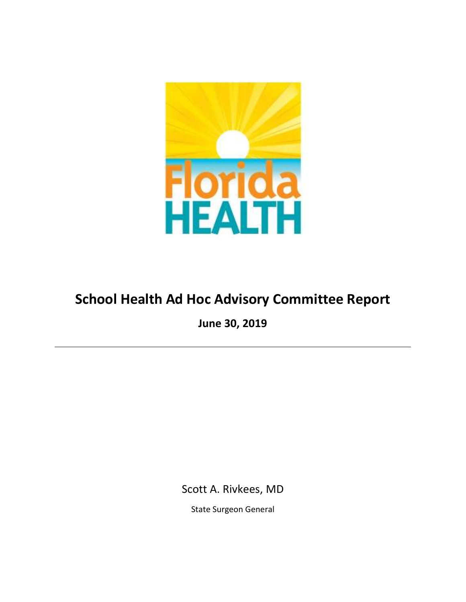

# **School Health Ad Hoc Advisory Committee Report**

**June 30, 2019**

Scott A. Rivkees, MD

State Surgeon General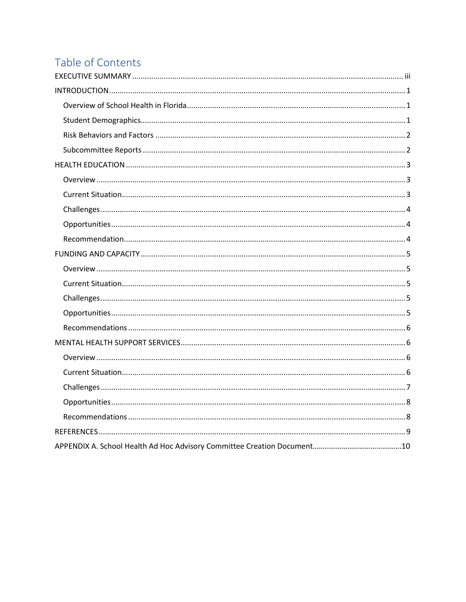# Table of Contents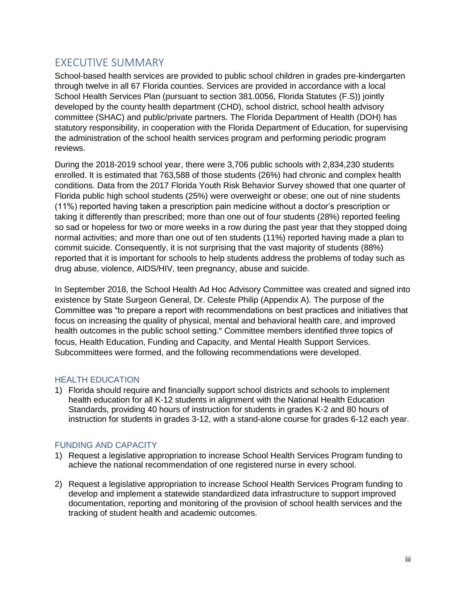# <span id="page-2-0"></span>EXECUTIVE SUMMARY

School-based health services are provided to public school children in grades pre-kindergarten through twelve in all 67 Florida counties. Services are provided in accordance with a local School Health Services Plan (pursuant to section 381.0056, Florida Statutes (F.S)) jointly developed by the county health department (CHD), school district, school health advisory committee (SHAC) and public/private partners. The Florida Department of Health (DOH) has statutory responsibility, in cooperation with the Florida Department of Education, for supervising the administration of the school health services program and performing periodic program reviews.

During the 2018-2019 school year, there were 3,706 public schools with 2,834,230 students enrolled. It is estimated that 763,588 of those students (26%) had chronic and complex health conditions. Data from the 2017 Florida Youth Risk Behavior Survey showed that one quarter of Florida public high school students (25%) were overweight or obese; one out of nine students (11%) reported having taken a prescription pain medicine without a doctor's prescription or taking it differently than prescribed; more than one out of four students (28%) reported feeling so sad or hopeless for two or more weeks in a row during the past year that they stopped doing normal activities; and more than one out of ten students (11%) reported having made a plan to commit suicide. Consequently, it is not surprising that the vast majority of students (88%) reported that it is important for schools to help students address the problems of today such as drug abuse, violence, AIDS/HIV, teen pregnancy, abuse and suicide.

In September 2018, the School Health Ad Hoc Advisory Committee was created and signed into existence by State Surgeon General, Dr. Celeste Philip (Appendix A). The purpose of the Committee was "to prepare a report with recommendations on best practices and initiatives that focus on increasing the quality of physical, mental and behavioral health care, and improved health outcomes in the public school setting." Committee members identified three topics of focus, Health Education, Funding and Capacity, and Mental Health Support Services. Subcommittees were formed, and the following recommendations were developed.

#### HEALTH EDUCATION

1) Florida should require and financially support school districts and schools to implement health education for all K-12 students in alignment with the National Health Education Standards, providing 40 hours of instruction for students in grades K-2 and 80 hours of instruction for students in grades 3-12, with a stand-alone course for grades 6-12 each year.

#### FUNDING AND CAPACITY

- 1) Request a legislative appropriation to increase School Health Services Program funding to achieve the national recommendation of one registered nurse in every school.
- 2) Request a legislative appropriation to increase School Health Services Program funding to develop and implement a statewide standardized data infrastructure to support improved documentation, reporting and monitoring of the provision of school health services and the tracking of student health and academic outcomes.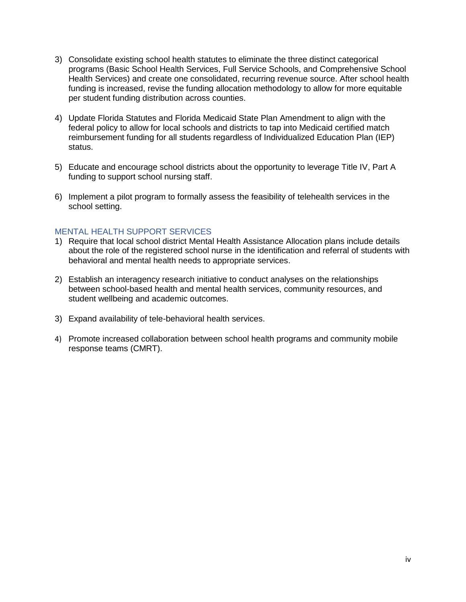- 3) Consolidate existing school health statutes to eliminate the three distinct categorical programs (Basic School Health Services, Full Service Schools, and Comprehensive School Health Services) and create one consolidated, recurring revenue source. After school health funding is increased, revise the funding allocation methodology to allow for more equitable per student funding distribution across counties.
- 4) Update Florida Statutes and Florida Medicaid State Plan Amendment to align with the federal policy to allow for local schools and districts to tap into Medicaid certified match reimbursement funding for all students regardless of Individualized Education Plan (IEP) status.
- 5) Educate and encourage school districts about the opportunity to leverage Title IV, Part A funding to support school nursing staff.
- 6) Implement a pilot program to formally assess the feasibility of telehealth services in the school setting.

#### MENTAL HEALTH SUPPORT SERVICES

- 1) Require that local school district Mental Health Assistance Allocation plans include details about the role of the registered school nurse in the identification and referral of students with behavioral and mental health needs to appropriate services.
- 2) Establish an interagency research initiative to conduct analyses on the relationships between school-based health and mental health services, community resources, and student wellbeing and academic outcomes.
- 3) Expand availability of tele-behavioral health services.
- 4) Promote increased collaboration between school health programs and community mobile response teams (CMRT).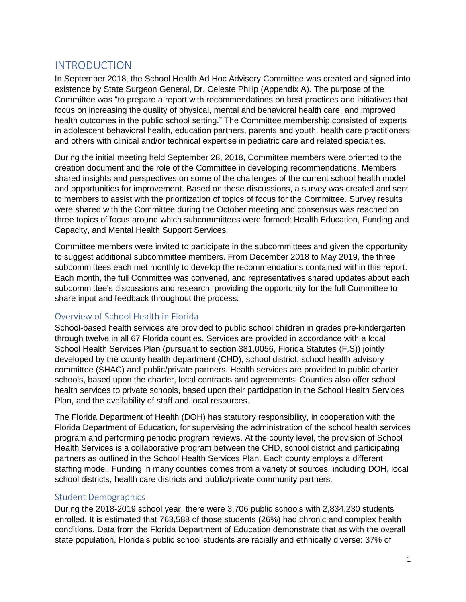## <span id="page-4-0"></span>INTRODUCTION

In September 2018, the School Health Ad Hoc Advisory Committee was created and signed into existence by State Surgeon General, Dr. Celeste Philip (Appendix A). The purpose of the Committee was "to prepare a report with recommendations on best practices and initiatives that focus on increasing the quality of physical, mental and behavioral health care, and improved health outcomes in the public school setting." The Committee membership consisted of experts in adolescent behavioral health, education partners, parents and youth, health care practitioners and others with clinical and/or technical expertise in pediatric care and related specialties.

During the initial meeting held September 28, 2018, Committee members were oriented to the creation document and the role of the Committee in developing recommendations. Members shared insights and perspectives on some of the challenges of the current school health model and opportunities for improvement. Based on these discussions, a survey was created and sent to members to assist with the prioritization of topics of focus for the Committee. Survey results were shared with the Committee during the October meeting and consensus was reached on three topics of focus around which subcommittees were formed: Health Education, Funding and Capacity, and Mental Health Support Services.

Committee members were invited to participate in the subcommittees and given the opportunity to suggest additional subcommittee members. From December 2018 to May 2019, the three subcommittees each met monthly to develop the recommendations contained within this report. Each month, the full Committee was convened, and representatives shared updates about each subcommittee's discussions and research, providing the opportunity for the full Committee to share input and feedback throughout the process.

#### <span id="page-4-1"></span>Overview of School Health in Florida

School-based health services are provided to public school children in grades pre-kindergarten through twelve in all 67 Florida counties. Services are provided in accordance with a local School Health Services Plan (pursuant to section 381.0056, Florida Statutes (F.S)) jointly developed by the county health department (CHD), school district, school health advisory committee (SHAC) and public/private partners. Health services are provided to public charter schools, based upon the charter, local contracts and agreements. Counties also offer school health services to private schools, based upon their participation in the School Health Services Plan, and the availability of staff and local resources.

The Florida Department of Health (DOH) has statutory responsibility, in cooperation with the Florida Department of Education, for supervising the administration of the school health services program and performing periodic program reviews. At the county level, the provision of School Health Services is a collaborative program between the CHD, school district and participating partners as outlined in the School Health Services Plan. Each county employs a different staffing model. Funding in many counties comes from a variety of sources, including DOH, local school districts, health care districts and public/private community partners.

#### <span id="page-4-2"></span>Student Demographics

During the 2018-2019 school year, there were 3,706 public schools with 2,834,230 students enrolled. It is estimated that 763,588 of those students (26%) had chronic and complex health conditions. Data from the Florida Department of Education demonstrate that as with the overall state population, Florida's public school students are racially and ethnically diverse: 37% of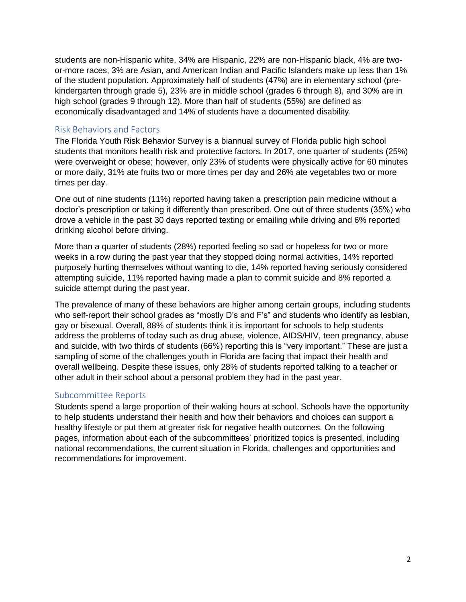students are non-Hispanic white, 34% are Hispanic, 22% are non-Hispanic black, 4% are twoor-more races, 3% are Asian, and American Indian and Pacific Islanders make up less than 1% of the student population. Approximately half of students (47%) are in elementary school (prekindergarten through grade 5), 23% are in middle school (grades 6 through 8), and 30% are in high school (grades 9 through 12). More than half of students (55%) are defined as economically disadvantaged and 14% of students have a documented disability.

#### <span id="page-5-0"></span>Risk Behaviors and Factors

The Florida Youth Risk Behavior Survey is a biannual survey of Florida public high school students that monitors health risk and protective factors. In 2017, one quarter of students (25%) were overweight or obese; however, only 23% of students were physically active for 60 minutes or more daily, 31% ate fruits two or more times per day and 26% ate vegetables two or more times per day.

One out of nine students (11%) reported having taken a prescription pain medicine without a doctor's prescription or taking it differently than prescribed. One out of three students (35%) who drove a vehicle in the past 30 days reported texting or emailing while driving and 6% reported drinking alcohol before driving.

More than a quarter of students (28%) reported feeling so sad or hopeless for two or more weeks in a row during the past year that they stopped doing normal activities, 14% reported purposely hurting themselves without wanting to die, 14% reported having seriously considered attempting suicide, 11% reported having made a plan to commit suicide and 8% reported a suicide attempt during the past year.

The prevalence of many of these behaviors are higher among certain groups, including students who self-report their school grades as "mostly D's and F's" and students who identify as lesbian, gay or bisexual. Overall, 88% of students think it is important for schools to help students address the problems of today such as drug abuse, violence, AIDS/HIV, teen pregnancy, abuse and suicide, with two thirds of students (66%) reporting this is "very important." These are just a sampling of some of the challenges youth in Florida are facing that impact their health and overall wellbeing. Despite these issues, only 28% of students reported talking to a teacher or other adult in their school about a personal problem they had in the past year.

#### <span id="page-5-1"></span>Subcommittee Reports

Students spend a large proportion of their waking hours at school. Schools have the opportunity to help students understand their health and how their behaviors and choices can support a healthy lifestyle or put them at greater risk for negative health outcomes. On the following pages, information about each of the subcommittees' prioritized topics is presented, including national recommendations, the current situation in Florida, challenges and opportunities and recommendations for improvement.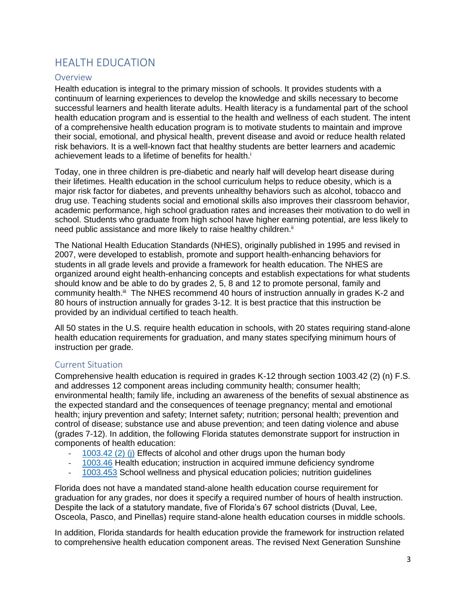# <span id="page-6-0"></span>HEALTH EDUCATION

#### <span id="page-6-1"></span>Overview

Health education is integral to the primary mission of schools. It provides students with a continuum of learning experiences to develop the knowledge and skills necessary to become successful learners and health literate adults. Health literacy is a fundamental part of the school health education program and is essential to the health and wellness of each student. The intent of a comprehensive health education program is to motivate students to maintain and improve their social, emotional, and physical health, prevent disease and avoid or reduce health related risk behaviors. It is a well-known fact that healthy students are better learners and academic achievement leads to a lifetime of benefits for health.<sup>i</sup>

Today, one in three children is pre-diabetic and nearly half will develop heart disease during their lifetimes. Health education in the school curriculum helps to reduce obesity, which is a major risk factor for diabetes, and prevents unhealthy behaviors such as alcohol, tobacco and drug use. Teaching students social and emotional skills also improves their classroom behavior, academic performance, high school graduation rates and increases their motivation to do well in school. Students who graduate from high school have higher earning potential, are less likely to need public assistance and more likely to raise healthy children.<sup>ii</sup>

The National Health Education Standards (NHES), originally published in 1995 and revised in 2007, were developed to establish, promote and support health-enhancing behaviors for students in all grade levels and provide a framework for health education. The NHES are organized around eight health-enhancing concepts and establish expectations for what students should know and be able to do by grades 2, 5, 8 and 12 to promote personal, family and community health.<sup>iii</sup> The NHES recommend 40 hours of instruction annually in grades K-2 and 80 hours of instruction annually for grades 3-12. It is best practice that this instruction be provided by an individual certified to teach health.

All 50 states in the U.S. require health education in schools, with 20 states requiring stand-alone health education requirements for graduation, and many states specifying minimum hours of instruction per grade.

#### <span id="page-6-2"></span>Current Situation

Comprehensive health education is required in grades K-12 through section 1003.42 (2) (n) F.S. and addresses 12 component areas including community health; consumer health; environmental health; family life, including an awareness of the benefits of sexual abstinence as the expected standard and the consequences of teenage pregnancy; mental and emotional health; injury prevention and safety; Internet safety; nutrition; personal health; prevention and control of disease; substance use and abuse prevention; and teen dating violence and abuse (grades 7-12). In addition, the following Florida statutes demonstrate support for instruction in components of health education:

- 1003.42 (2) (i) Effects of alcohol and other drugs upon the human body
- [1003.46](http://www.leg.state.fl.us/statutes/index.cfm?App_mode=Display_Statute&URL=1000-1099/1003/Sections/1003.46.html) Health education; instruction in acquired immune deficiency syndrome
- [1003.453](http://www.leg.state.fl.us/statutes/index.cfm?App_mode=Display_Statute&Search_String=&URL=1000-1099/1003/Sections/1003.453.html) School wellness and physical education policies; nutrition guidelines

Florida does not have a mandated stand-alone health education course requirement for graduation for any grades, nor does it specify a required number of hours of health instruction. Despite the lack of a statutory mandate, five of Florida's 67 school districts (Duval, Lee, Osceola, Pasco, and Pinellas) require stand-alone health education courses in middle schools.

In addition, Florida standards for health education provide the framework for instruction related to comprehensive health education component areas. The revised Next Generation Sunshine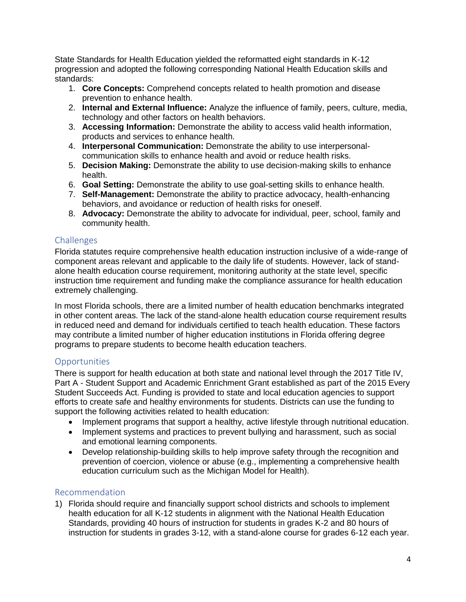State Standards for Health Education yielded the reformatted eight standards in K-12 progression and adopted the following corresponding National Health Education skills and standards:

- 1. **Core Concepts:** Comprehend concepts related to health promotion and disease prevention to enhance health.
- 2. **Internal and External Influence:** Analyze the influence of family, peers, culture, media, technology and other factors on health behaviors.
- 3. **Accessing Information:** Demonstrate the ability to access valid health information, products and services to enhance health.
- 4. **Interpersonal Communication:** Demonstrate the ability to use interpersonalcommunication skills to enhance health and avoid or reduce health risks.
- 5. **Decision Making:** Demonstrate the ability to use decision-making skills to enhance health.
- 6. **Goal Setting:** Demonstrate the ability to use goal-setting skills to enhance health.
- 7. **Self-Management:** Demonstrate the ability to practice advocacy, health-enhancing behaviors, and avoidance or reduction of health risks for oneself.
- 8. **Advocacy:** Demonstrate the ability to advocate for individual, peer, school, family and community health.

## <span id="page-7-0"></span>Challenges

Florida statutes require comprehensive health education instruction inclusive of a wide-range of component areas relevant and applicable to the daily life of students. However, lack of standalone health education course requirement, monitoring authority at the state level, specific instruction time requirement and funding make the compliance assurance for health education extremely challenging.

In most Florida schools, there are a limited number of health education benchmarks integrated in other content areas. The lack of the stand-alone health education course requirement results in reduced need and demand for individuals certified to teach health education. These factors may contribute a limited number of higher education institutions in Florida offering degree programs to prepare students to become health education teachers.

## <span id="page-7-1"></span>**Opportunities**

There is support for health education at both state and national level through the 2017 Title IV, Part A - Student Support and Academic Enrichment Grant established as part of the 2015 Every Student Succeeds Act. Funding is provided to state and local education agencies to support efforts to create safe and healthy environments for students. Districts can use the funding to support the following activities related to health education:

- Implement programs that support a healthy, active lifestyle through nutritional education.
- Implement systems and practices to prevent bullying and harassment, such as social and emotional learning components.
- Develop relationship-building skills to help improve safety through the recognition and prevention of coercion, violence or abuse (e.g., implementing a comprehensive health education curriculum such as the Michigan Model for Health).

### <span id="page-7-2"></span>Recommendation

1) Florida should require and financially support school districts and schools to implement health education for all K-12 students in alignment with the National Health Education Standards, providing 40 hours of instruction for students in grades K-2 and 80 hours of instruction for students in grades 3-12, with a stand-alone course for grades 6-12 each year.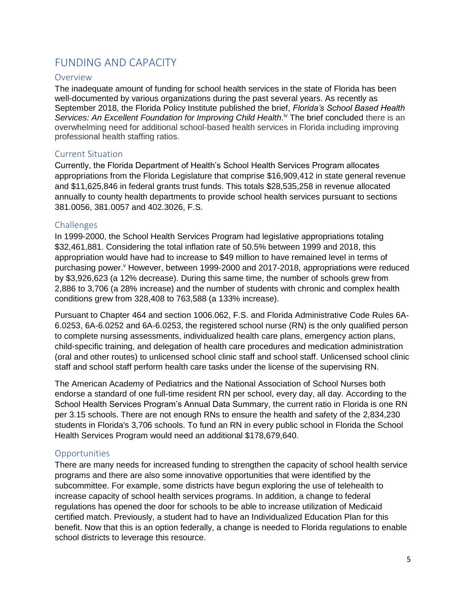# <span id="page-8-0"></span>FUNDING AND CAPACITY

#### <span id="page-8-1"></span>Overview

The inadequate amount of funding for school health services in the state of Florida has been well-documented by various organizations during the past several years. As recently as September 2018, the Florida Policy Institute published the brief, *Florida's School Based Health*  Services: An Excellent Foundation for Improving Child Health.<sup>iv</sup> The brief concluded there is an overwhelming need for additional school-based health services in Florida including improving professional health staffing ratios.

#### <span id="page-8-2"></span>Current Situation

Currently, the Florida Department of Health's School Health Services Program allocates appropriations from the Florida Legislature that comprise \$16,909,412 in state general revenue and \$11,625,846 in federal grants trust funds. This totals \$28,535,258 in revenue allocated annually to county health departments to provide school health services pursuant to sections 381.0056, 381.0057 and 402.3026, F.S.

#### <span id="page-8-3"></span>Challenges

In 1999-2000, the School Health Services Program had legislative appropriations totaling \$32,461,881. Considering the total inflation rate of 50.5% between 1999 and 2018, this appropriation would have had to increase to \$49 million to have remained level in terms of purchasing power. However, between 1999-2000 and 2017-2018, appropriations were reduced by \$3,926,623 (a 12% decrease). During this same time, the number of schools grew from 2,886 to 3,706 (a 28% increase) and the number of students with chronic and complex health conditions grew from 328,408 to 763,588 (a 133% increase).

Pursuant to Chapter 464 and section 1006.062, F.S. and Florida Administrative Code Rules 6A-6.0253, 6A-6.0252 and 6A-6.0253, the registered school nurse (RN) is the only qualified person to complete nursing assessments, individualized health care plans, emergency action plans, child-specific training, and delegation of health care procedures and medication administration (oral and other routes) to unlicensed school clinic staff and school staff. Unlicensed school clinic staff and school staff perform health care tasks under the license of the supervising RN.

The American Academy of Pediatrics and the National Association of School Nurses both endorse a standard of one full-time resident RN per school, every day, all day. According to the School Health Services Program's Annual Data Summary, the current ratio in Florida is one RN per 3.15 schools. There are not enough RNs to ensure the health and safety of the 2,834,230 students in Florida's 3,706 schools. To fund an RN in every public school in Florida the School Health Services Program would need an additional \$178,679,640.

#### <span id="page-8-4"></span>**Opportunities**

There are many needs for increased funding to strengthen the capacity of school health service programs and there are also some innovative opportunities that were identified by the subcommittee. For example, some districts have begun exploring the use of telehealth to increase capacity of school health services programs. In addition, a change to federal regulations has opened the door for schools to be able to increase utilization of Medicaid certified match. Previously, a student had to have an Individualized Education Plan for this benefit. Now that this is an option federally, a change is needed to Florida regulations to enable school districts to leverage this resource.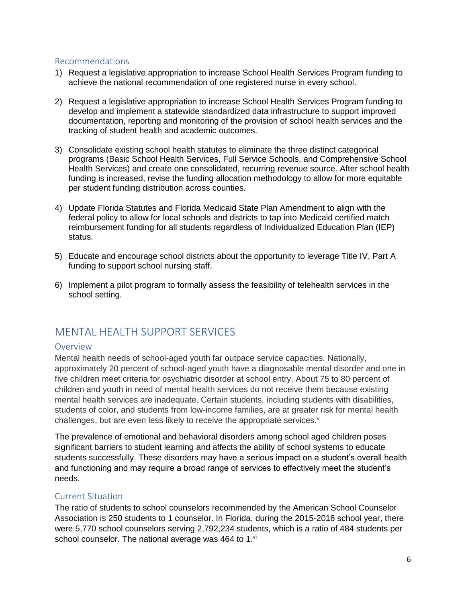#### <span id="page-9-0"></span>Recommendations

- 1) Request a legislative appropriation to increase School Health Services Program funding to achieve the national recommendation of one registered nurse in every school.
- 2) Request a legislative appropriation to increase School Health Services Program funding to develop and implement a statewide standardized data infrastructure to support improved documentation, reporting and monitoring of the provision of school health services and the tracking of student health and academic outcomes.
- 3) Consolidate existing school health statutes to eliminate the three distinct categorical programs (Basic School Health Services, Full Service Schools, and Comprehensive School Health Services) and create one consolidated, recurring revenue source. After school health funding is increased, revise the funding allocation methodology to allow for more equitable per student funding distribution across counties.
- 4) Update Florida Statutes and Florida Medicaid State Plan Amendment to align with the federal policy to allow for local schools and districts to tap into Medicaid certified match reimbursement funding for all students regardless of Individualized Education Plan (IEP) status.
- 5) Educate and encourage school districts about the opportunity to leverage Title IV, Part A funding to support school nursing staff.
- 6) Implement a pilot program to formally assess the feasibility of telehealth services in the school setting.

## <span id="page-9-1"></span>MENTAL HEALTH SUPPORT SERVICES

#### <span id="page-9-2"></span>Overview

Mental health needs of school-aged youth far outpace service capacities. Nationally, approximately 20 percent of school-aged youth have a diagnosable mental disorder and one in five children meet criteria for psychiatric disorder at school entry. About 75 to 80 percent of children and youth in need of mental health services do not receive them because existing mental health services are inadequate. Certain students, including students with disabilities, students of color, and students from low-income families, are at greater risk for mental health challenges, but are even less likely to receive the appropriate services.<sup>v</sup>

The prevalence of emotional and behavioral disorders among school aged children poses significant barriers to student learning and affects the ability of school systems to educate students successfully. These disorders may have a serious impact on a student's overall health and functioning and may require a broad range of services to effectively meet the student's needs.

#### <span id="page-9-3"></span>Current Situation

The ratio of students to school counselors recommended by the American School Counselor Association is 250 students to 1 counselor. In Florida, during the 2015-2016 school year, there were 5,770 school counselors serving 2,792,234 students, which is a ratio of 484 students per school counselor. The national average was 464 to 1.vi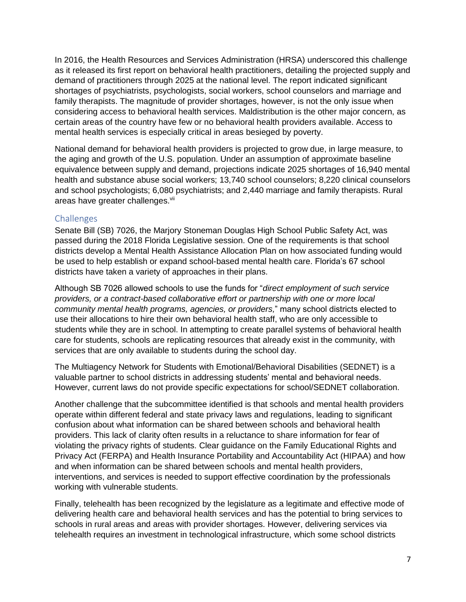In 2016, the Health Resources and Services Administration (HRSA) underscored this challenge as it released its first report on behavioral health practitioners, detailing the projected supply and demand of practitioners through 2025 at the national level. The report indicated significant shortages of psychiatrists, psychologists, social workers, school counselors and marriage and family therapists. The magnitude of provider shortages, however, is not the only issue when considering access to behavioral health services. Maldistribution is the other major concern, as certain areas of the country have few or no behavioral health providers available. Access to mental health services is especially critical in areas besieged by poverty.

National demand for behavioral health providers is projected to grow due, in large measure, to the aging and growth of the U.S. population. Under an assumption of approximate baseline equivalence between supply and demand, projections indicate 2025 shortages of 16,940 mental health and substance abuse social workers; 13,740 school counselors; 8,220 clinical counselors and school psychologists; 6,080 psychiatrists; and 2,440 marriage and family therapists. Rural areas have greater challenges.vii

#### <span id="page-10-0"></span>Challenges

Senate Bill (SB) 7026, the Marjory Stoneman Douglas High School Public Safety Act, was passed during the 2018 Florida Legislative session. One of the requirements is that school districts develop a Mental Health Assistance Allocation Plan on how associated funding would be used to help establish or expand school-based mental health care. Florida's 67 school districts have taken a variety of approaches in their plans.

Although SB 7026 allowed schools to use the funds for "*direct employment of such service providers, or a contract-based collaborative effort or partnership with one or more local community mental health programs, agencies, or providers,*" many school districts elected to use their allocations to hire their own behavioral health staff, who are only accessible to students while they are in school. In attempting to create parallel systems of behavioral health care for students, schools are replicating resources that already exist in the community, with services that are only available to students during the school day.

The Multiagency Network for Students with Emotional/Behavioral Disabilities (SEDNET) is a valuable partner to school districts in addressing students' mental and behavioral needs. However, current laws do not provide specific expectations for school/SEDNET collaboration.

Another challenge that the subcommittee identified is that schools and mental health providers operate within different federal and state privacy laws and regulations, leading to significant confusion about what information can be shared between schools and behavioral health providers. This lack of clarity often results in a reluctance to share information for fear of violating the privacy rights of students. Clear guidance on the Family Educational Rights and Privacy Act (FERPA) and Health Insurance Portability and Accountability Act (HIPAA) and how and when information can be shared between schools and mental health providers, interventions, and services is needed to support effective coordination by the professionals working with vulnerable students.

Finally, telehealth has been recognized by the legislature as a legitimate and effective mode of delivering health care and behavioral health services and has the potential to bring services to schools in rural areas and areas with provider shortages. However, delivering services via telehealth requires an investment in technological infrastructure, which some school districts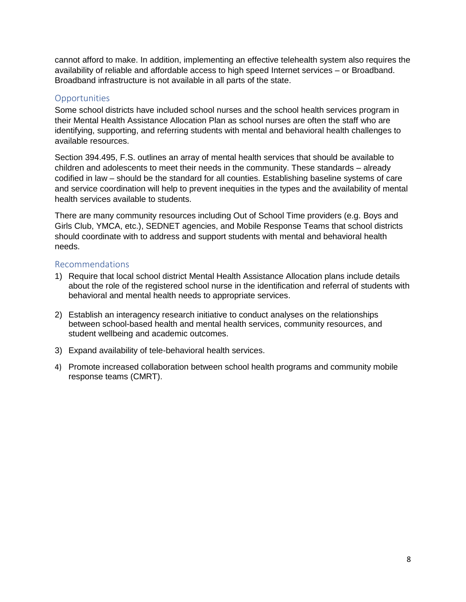cannot afford to make. In addition, implementing an effective telehealth system also requires the availability of reliable and affordable access to high speed Internet services – or Broadband. Broadband infrastructure is not available in all parts of the state.

#### <span id="page-11-0"></span>**Opportunities**

Some school districts have included school nurses and the school health services program in their Mental Health Assistance Allocation Plan as school nurses are often the staff who are identifying, supporting, and referring students with mental and behavioral health challenges to available resources.

Section 394.495, F.S. outlines an array of mental health services that should be available to children and adolescents to meet their needs in the community. These standards – already codified in law – should be the standard for all counties. Establishing baseline systems of care and service coordination will help to prevent inequities in the types and the availability of mental health services available to students.

There are many community resources including Out of School Time providers (e.g. Boys and Girls Club, YMCA, etc.), SEDNET agencies, and Mobile Response Teams that school districts should coordinate with to address and support students with mental and behavioral health needs.

#### <span id="page-11-1"></span>Recommendations

- 1) Require that local school district Mental Health Assistance Allocation plans include details about the role of the registered school nurse in the identification and referral of students with behavioral and mental health needs to appropriate services.
- 2) Establish an interagency research initiative to conduct analyses on the relationships between school-based health and mental health services, community resources, and student wellbeing and academic outcomes.
- 3) Expand availability of tele-behavioral health services.
- 4) Promote increased collaboration between school health programs and community mobile response teams (CMRT).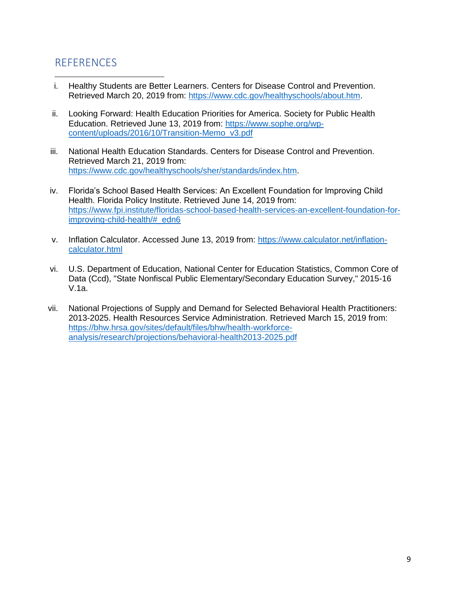## <span id="page-12-0"></span>**REFERENCES**

- i. Healthy Students are Better Learners. Centers for Disease Control and Prevention. Retrieved March 20, 2019 from: [https://www.cdc.gov/healthyschools/about.htm.](https://www.cdc.gov/healthyschools/about.htm)  $\overline{\phantom{a}}$
- ii. Looking Forward: Health Education Priorities for America. Society for Public Health Education. Retrieved June 13, 2019 from: [https://www.sophe.org/wp](https://www.sophe.org/wp-content/uploads/2016/10/Transition-Memo_v3.pdf)[content/uploads/2016/10/Transition-Memo\\_v3.pdf](https://www.sophe.org/wp-content/uploads/2016/10/Transition-Memo_v3.pdf)
- iii. National Health Education Standards. Centers for Disease Control and Prevention. Retrieved March 21, 2019 from: [https://www.cdc.gov/healthyschools/sher/standards/index.htm.](https://www.cdc.gov/healthyschools/sher/standards/index.htm)
- iv. Florida's School Based Health Services: An Excellent Foundation for Improving Child Health. Florida Policy Institute. Retrieved June 14, 2019 from: [https://www.fpi.institute/floridas-school-based-health-services-an-excellent-foundation-for](https://www.fpi.institute/floridas-school-based-health-services-an-excellent-foundation-for-improving-child-health/#_edn6)[improving-child-health/#\\_edn6](https://www.fpi.institute/floridas-school-based-health-services-an-excellent-foundation-for-improving-child-health/#_edn6)
- v. Inflation Calculator. Accessed June 13, 2019 from: [https://www.calculator.net/inflation](https://www.calculator.net/inflation-calculator.html)[calculator.html](https://www.calculator.net/inflation-calculator.html)
- vi. U.S. Department of Education, National Center for Education Statistics, Common Core of Data (Ccd), "State Nonfiscal Public Elementary/Secondary Education Survey," 2015-16 V.1a.
- vii. National Projections of Supply and Demand for Selected Behavioral Health Practitioners: 2013-2025. Health Resources Service Administration. Retrieved March 15, 2019 from: [https://bhw.hrsa.gov/sites/default/files/bhw/health-workforce](https://bhw.hrsa.gov/sites/default/files/bhw/health-workforce-analysis/research/projections/behavioral-health2013-2025.pdf)[analysis/research/projections/behavioral-health2013-2025.pdf](https://bhw.hrsa.gov/sites/default/files/bhw/health-workforce-analysis/research/projections/behavioral-health2013-2025.pdf)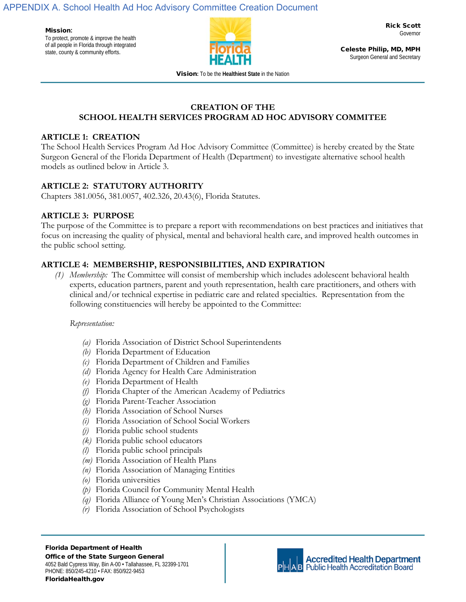APPENDIX A. School Health Ad Hoc Advisory Committee Creation Document

Mission**:**  To protect, promote & improve the health of all people in Florida through integrated state, county & community efforts.



Rick Scott Governor

Celeste Philip, MD, MPH Surgeon General and Secretary

Vision**:** To be the **Healthiest State** in the Nation

#### **CREATION OF THE SCHOOL HEALTH SERVICES PROGRAM AD HOC ADVISORY COMMITEE**

#### **ARTICLE 1: CREATION**

The School Health Services Program Ad Hoc Advisory Committee (Committee) is hereby created by the State Surgeon General of the Florida Department of Health (Department) to investigate alternative school health models as outlined below in Article 3.

## **ARTICLE 2: STATUTORY AUTHORITY**

Chapters 381.0056, 381.0057, 402.326, 20.43(6), Florida Statutes.

#### **ARTICLE 3: PURPOSE**

The purpose of the Committee is to prepare a report with recommendations on best practices and initiatives that focus on increasing the quality of physical, mental and behavioral health care, and improved health outcomes in the public school setting.

### **ARTICLE 4: MEMBERSHIP, RESPONSIBILITIES, AND EXPIRATION**

*(1) Membership:* The Committee will consist of membership which includes adolescent behavioral health experts, education partners, parent and youth representation, health care practitioners, and others with clinical and/or technical expertise in pediatric care and related specialties. Representation from the following constituencies will hereby be appointed to the Committee:

#### *Representation:*

- *(a)* Florida Association of District School Superintendents
- *(b)* Florida Department of Education
- *(c)* Florida Department of Children and Families
- *(d)* Florida Agency for Health Care Administration
- *(e)* Florida Department of Health
- *(f)* Florida Chapter of the American Academy of Pediatrics
- *(g)* Florida Parent-Teacher Association
- *(h)* Florida Association of School Nurses
- *(i)* Florida Association of School Social Workers
- *(j)* Florida public school students
- *(k)* Florida public school educators
- *(l)* Florida public school principals
- *(m)* Florida Association of Health Plans
- *(n)* Florida Association of Managing Entities
- *(o)* Florida universities
- *(p)* Florida Council for Community Mental Health
- *(q)* Florida Alliance of Young Men's Christian Associations (YMCA)
- *(r)* Florida Association of School Psychologists



**Accredited Health Department Public Health Accreditation Board**